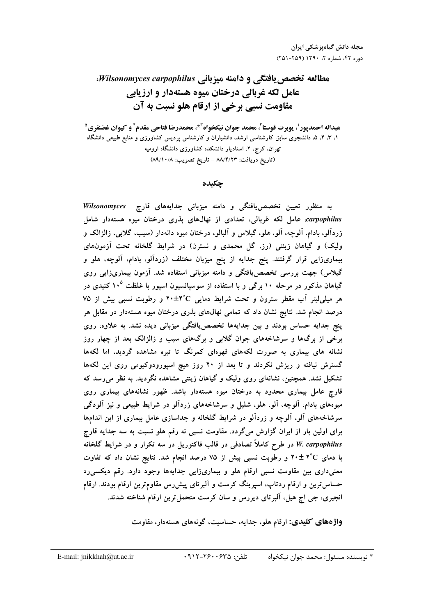مطالعه تخصص یافتگی و دامنه میزبانی Wilsonomyces carpophilus، عامل لکه غربالي درختان ميوه هستهدار و ارزيابي مقاومت نسبي برخي از ارقام هلو نسبت به آن

۱، ۳، ۴، ۵، دانشجوی سابق کارشناسی ارشد، دانشیاران و کارشناس پردیس کشاورزی و منابع طبیعی دانشگاه تهران، کرج، ۲، استادیار دانشکده کشاورزی دانشگاه ارومیه (تاريخ دريافت: ٨٨/٤/٢٣ - تاريخ تصويب: ٨٩/١٠/٨)

جكىدە

به منظور تعیین تخصصیافتگی و دامنه میزبانی جدایههای قارچ Wilsonomyces carpophilus عامل لکه غربالی، تعدادی از نهالهای بذری درختان میوه هستهدار شامل زردآلو، بادام، آلوچه، آلو، هلو، گیلاس و آلبالو، درختان میوه دانهدار (سیب، گلابی، زالزالک و ولیک) و گیاهان زینتی (رز، گل محمدی و نسترن) در شرایط گلخانه تحت آزمونهای بیماریزایی قرار گرفتند. پنج جدایه از پنج میزبان مختلف (زردآلو، بادام، آلوچه، هلو و گیلاس) جهت بررسی تخصص یافتگی و دامنه میزبانی استفاده شد. آزمون بیماریزایی روی گیاهان مذکور در مرحله ۱۰ برگی و با استفاده از سوسیانسیون اسپور با غلظت ۱۰<sup>۵</sup> کنیدی در هر میلی لیتر آب مقطر سترون و تحت شرایط دمایی ۲٬۵±۲° و رطوبت نسبی بیش از ۷۵ درصد انجام شد. نتایج نشان داد که تمامی نهالهای بذری درختان میوه هستهدار در مقابل هر ینج جدایه حساس بودند و بین جدایهها تخصص یافتگی میزبانی دیده نشد. به علاوه، روی برخی از برگها و سرشاخههای جوان گلابی و برگهای سیب و زالزالک بعد از چهار روز نشانه های بیماری به صورت لکههای قهوهای کمرنگ تا تیره مشاهده گردید، اما لکهها گسترش نیافته و ریزش نکردند و تا بعد از ۲۰ روز هیچ اسپورودوکیومی روی این لکهها تشکیل نشد. همچنین، نشانهای روی ولیک و گیاهان زینتی مشاهده نگردید. به نظر می رسد که قارچ عامل بیماری محدود به درختان میوه هستهدار باشد. ظهور نشانههای بیماری روی میوههای بادام، آلوچه، آلو، هلو، شلیل و سرشاخههای زردآلو در شرایط طبیعی و نیز آلودگی سرشاخههای آلو، آلوچه و زردآلو در شرایط گلخانه و جداسازی عامل بیماری از این اندامها برای اولین بار از ایران گزارش میگردد. مقاومت نسبی نه رقم هلو نسبت به سه جدایه قارچ W. carpophilus در طرح کاملاً تصادفی در قالب فاکتوریل در سه تکرار و در شرایط گلخانه با دمای ۴°C + ۲ و رطوبت نسبی بیش از ۷۵ درصد انجام شد. نتایج نشان داد که تفاوت معنیداری بین مقاومت نسبی ارقام هلو و بیماریزایی جدایهها وجود دارد. رقم دیکسی رد حساس ترین و ارقام ردتاب، اسپرینگ کرست و آلبرتای پیش رس مقاومترین ارقام بودند. ارقام انجیری، جی اچ هیل. آلبرتای دیررس و سان کرست متحمل ترین ارقام شناخته شدند.

واژههای کلیدی: ارقام هلو، جدایه، حساسیت، گونههای هستهدار، مقاومت

 $.911 - 79.0$  تلفن: \* نويسنده مسئول: محمد جوان نيكخواه

E-mail: jnikkhah@ut.ac.ir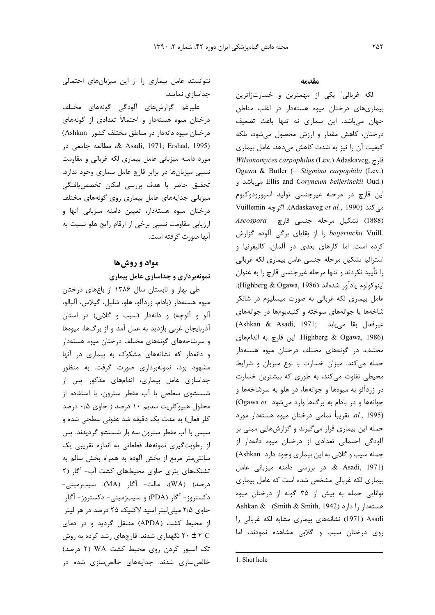علیرغم گزارشهای آلودگی گونههای مختلف درختان میوه هستهدار و احتمالاً تعدادی از گونههای درختان میوه دانهدار در مناطق مختلف کشور Ashkan) س مطالعه جامعی در Asadi, 1971; Ershad, 1995) مورد دامنه میزبانی عامل بیماری لکه غربالی و مقاومت نسبی میزبانها در برابر قارچ عامل بیماری وجود ندارد. تحقيق حاضر با هدف بررسي امكان تخصص يافتگي میزبانی جدایههای عامل بیماری روی گونههای مختلف درختان میوه هستهدار، تعیین دامنه میزبانی آنها و ارزیابی مقاومت نسبی برخی از ارقام رایج هلو نسبت به آنها صورت گرفته است.

### مواد و روشها

نمونهبرداری و جداسازی عامل بیماری

طی بهار و تابستان سال ۱۳۸۶ از باغهای درختان میوه هستهدار (بادام، زردآلو، هلو، شلیل، گیلاس، آلبالو، آلو و آلوچه) و دانهدار (سيب و گلابى) در استان آذربایجان غربی بازدید به عمل آمد و از برگها، میوهها و سرشاخههای گونههای مختلف درختان میوه هستهدار و دانهدار که نشانههای مشکوک به بیماری در آنها مشهود بود، نمونهبرداری صورت گرفت. به منظور جداسازی عامل بیماری، اندامهای مذکور پس از شستشوی سطحی با آب مقطر سترون، با استفاده از محلول هیپوکلریت سدیم ۱۰ درصد ( حاوی ۰/۵ درصد كلر فعال) به مدت یک دقیقه ضد عفونی سطحی شده و سپس با آب مقطر سترون سه بار شستشو گردیدند. پس از رطوبت گیری نمونهها، قطعاتی به اندازه تقریبی یک سانتیمتر مربع از بخش آلوده به همراه بخش سالم به تشتکهای پتری حاوی محیطهای کشت آب- آگار (۲ درصد) (WA)، مالت- آگار (MA)، سيبزميني-دکستروز- آگار (PDA) و سیبزمینی- دکستروز- آگار حاوی ۲/۵ میلی لیتر اسید لاکتیک ۲۵ درصد در هر لیتر از محیط کشت (APDA) منتقل گردید و در دمای ۲۰ ± ۲° نگهداری شدند. قارچهای رشد کرده به روش تک اسپور کردن روی محیط کشت WA (۲ درصد) خالص سازی شدند. جدایههای خالص سازی شده در

#### مقدمه

لکه غربالي' يکي از مهمترين و خسارتزاترين بیماریهای درختان میوه هستهدار در اغلب مناطق جهان میباشد. این بیماری نه تنها باعث تضعیف درختان، كاهش مقدار و ارزش محصول مى شود، بلكه کیفیت آن را نیز به شدت کاهش میدهد. عامل بیماری *Wilsonomyces carpophilus* (Lev.) Adaskaveg, قارچ Ogawa & Butler (= Stigmina carpophila (Lev.) Ellis and Coryneum beijerinckii Oud.) میباشد و اين قارچ در مرحله غيرجنسي توليد اسپورودوكيوم Vuillemin (Adaskaveg *et al.*, 1990). اگرچه Vuillemin Ascospora تشكيل مرحله جنسى قارچ Ascospora , beijerinckii Vuill. را از بقایای برگی آلوده گزارش کرده است. اما کارهای بعدی در آلمان، کالیفرنیا و استرالیا تشکیل مرحله جنسی عامل بیماری لکه غربالی را تأييد نكردند و تنها مرحله غيرجنسي قارچ را به عنوان اينوكولوم يادآور شدهاند (Highberg & Ogawa, 1986). عامل بیماری لکه غربالی به صورت میسلیوم در شانکر شاخهها یا جوانههای سوخته و کنیدیومها در جوانههای (Ashkan & Asadi, 1971; خيرفعال بقا مى يابد Lighberg & Ogawa, 1986) این قارچ به اندامهای مختلف، در گونههای مختلف درختان میوه هستهدار حمله میکند. میزان خسارت با نوع میزبان و شرایط محیطی تفاوت میکند، به طوری که بیشترین خسارت در زردآلو به میوهها و جوانهها، در هلو به سرشاخهها و جوانهها و در بادام به برگها وارد میشود Ogawa et) al., 1995). تقريباً تمامى درختان ميوه هستهدار مورد حمله این بیماری قرار میگیرند و گزارشهایی مبنی بر آلودگی احتمالی تعدادی از درختان میوه دانهدار از جمله سیب و گلابی به این بیماری وجود دارد Ashkan) & Asadi, 1971). در بررسی دامنه میزبانی عامل بیماری لکه غربالی مشخص شده است که عامل بیماری توانایی حمله به بیش از ۳۵ گونه از درختان میوه Ashkan & .(Smith & Smith, 1942) Asadi (1971) نشانههای بیماری مشابه لکه غربالی را روی درختان سیب و گلابی مشاهده نمودند، اما

<sup>1.</sup> Shot hole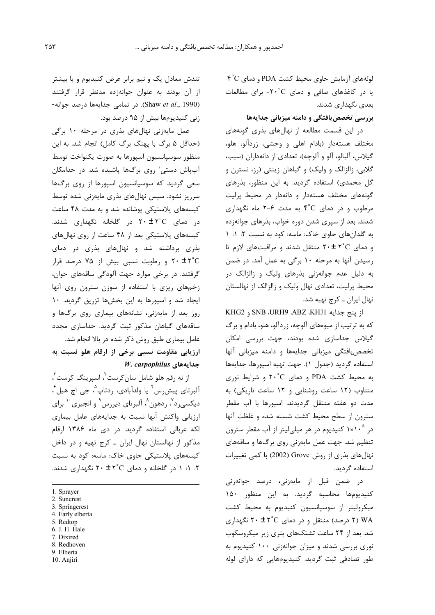لولههای آزمایش حاوی محیط کشت PDA و دمای ۴°C یا در کاغذهای صافی و دمای ٢٠°C- برای مطالعات بعدی نگهداری شدند.

بررسی تخصص بافتگی و دامنه میزبانی جدایهها

در این قسمت مطالعه از نهالهای بذری گونههای مختلف هستهدار (بادام اهلی و وحشی، زردآلو، هلو، گیلاس، آلبالو، آلو و آلوچه)، تعدادی از دانهداران (سیب، گلابی، زالزالک و ولیک) و گیاهان زینتی (رز، نسترن و گل محمدی) استفاده گردید. به این منظور، بذرهای گونههای مختلف هستهدار و دانهدار در محیط پرلیت مرطوب و در دمای ۴°C به مدت ۶-۲ ماه نگهداری شدند. بعد از سپری شدن دوره خواب، بذرهای جوانهزده به گلدانهای حاوی خاک: ماسه: کود به نسبت ٢: ١: ١ و دمای ۲۰±۲۰ منتقل شدند و مراقبتهای لازم تا رسیدن آنها به مرحله ۱۰ برگی به عمل آمد. در ضمن به دلیل عدم جوانهزنی بذرهای ولیک و زالزالک در محیط پرلیت، تعدادی نهال ولیک و زالزالک از نهالستان نهال ایران ــ کرج تهیه شد.

از ينج جدايه SNB JURH9 ABZ ،KHJ1 و KHG2 که به ترتیب از میوههای آلوچه، زردآلو، هلو، بادام و برگ گیلاس جداسازی شده بودند، جهت بررسی امکان تخصص یافتگی میزبانی جدایهها و دامنه میزبانی آنها استفاده گردید (جدول ١). جهت تهیه اسپورها، جدایهها به محیط کشت PDA و دمای ٢٠°C و شرایط نوری متناوب (١٢ ساعت روشنايي و ١٢ ساعت تاريكي) به مدت دو هفته منتقل گردیدند. اسپورها با آب مقطر سترون از سطح محیط کشت شسته شده و غلظت آنها در ۱×۱۰<sup>۵</sup> کنیدیوم در هر میلی *ل*یتر از آب مقطر سترون تنظیم شد. جهت عمل مایهزنی روی برگها و ساقههای نهالهای بذری از روش Grove (2002) با کمی تغییرات استفاده گردید.

در ضمن قبل از مایەزنی، درصد جوانەزنی کنیدیومها محاسبه گردید. به این منظور ۱۵۰ میکرولیتر از سوسیانسیون کنیدیوم به محیط کشت ۲) ۷۸ (۲ درصد) منتقل و در دمای ۲۰ ± ۲۰ نگهداری شد. بعد از ۲۴ ساعت تشتکهای پتری زیر میکروسکوپ نوری بررسی شدند و میزان جوانهزنی ۱۰۰ کنیدیوم به طور تصادفی ثبت گردید. کنیدیومهایی که دارای لوله

تندش معادل یک و نیم برابر عرض کنیدیوم و یا بیشتر از آن بودند به عنوان جوانهزده مدنظر قرار گرفتند -Shaw et al., 1990). در تمامی جدایهها درصد جوانه زنی کنیدیومها بیش از ۹۵ درصد بود.

عمل مایەزنی نهالهای بذری در مرحله ۱۰ برگی (حداقل ۵ برگ با پهنگ برگ کامل) انجام شد. به این منظور سوسيانسيون اسيورها به صورت يكنواخت توسط آبپاش دستی` روی برگها پاشیده شد. در حدامکان سعی گردید که سوسپانسیون اسپورها از روی برگها سرریز نشود. سپس نهالهای بذری مایهزنی شده توسط کیسههای پلاستیکی پوشانده شد و به مدت ۴۸ ساعت در دمای ۲۰ $\pm$  ۲۰ در گلخانه نگهداری شدند. کیسههای پلاستیکی بعد از ۴۸ ساعت از روی نهالهای بذری برداشته شد و نهالهای بذری در دمای ۲۰ ± ۲°C و رطوبت نسبی بیش از ۷۵ درصد قرار گرفتند. در برخی موارد جهت آلودگی ساقههای جوان، زخمهای ریزی با استفاده از سوزن سترون روی آنها ایجاد شد و اسپورها به این بخشها تزریق گردید. ۱۰ روز بعد از مایهزنی، نشانههای بیماری روی برگها و ساقههای گیاهان مذکور ثبت گردید. جداسازی مجدد عامل بیماری طبق روش ذکر شده در بالا انجام شد. ارزیابی مقاومت نسبی برخی از ارقام هلو نسبت به W. carpophilus جدايههای

از نه رقم هلو شامل سان *ک*رست<sup>۲</sup>، اسپرینگ کرست<sup>۳</sup>، آلبرتاي پيش,س ؑ يا ولدآبادي، ,دتاپ ؓ، جي اچ هيل ؒ، دیکسی٫د٬ ٬ ردهون٬ آلبرتای دیر٫س٬ و انجیری <sup>۱۰</sup> برای ارزیابی واکنش آنها نسبت به جدایههای عامل بیماری لکه غربالی استفاده گردید. در دی ماه ۱۳۸۶ ارقام مذکور از نهالستان نهال ایران ـ کرج تهیه و در داخل کیسههای پلاستیکی حاوی خاک: ماسه: کود به نسبت ۲: ۱: ۱ در گلخانه و دمای ۲۰ ± ۲۰ نگهداری شدند.

- 5. Redtop
- 6. J. H. Hale 7. Dixired
- 8. Redhoven
- 9. Elberta
- 10. Anjiri

<sup>1.</sup> Sprayer

<sup>2.</sup> Suncrest

<sup>3.</sup> Springcrest

<sup>4.</sup> Early elberta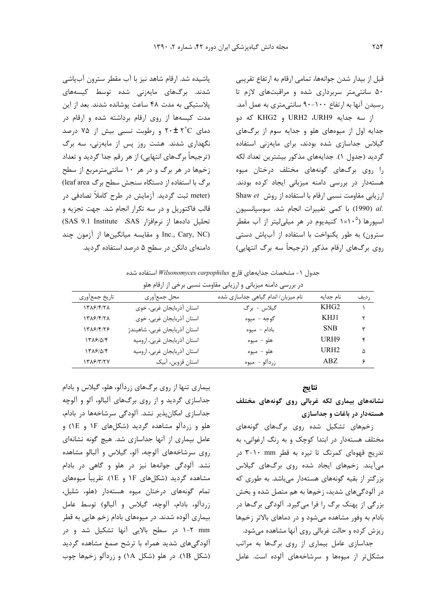قبل از بيدار شدن جوانهها، تمامي ارقام به ارتفاع تقريبي ۵۰ سانتی متر سربرداری شده و مراقبتهای لازم تا رسیدن آنها به ارتفاع ۱۰۰–۹۰ سانتی متری به عمل آمد.

از سه جدايه URH2 ،URH9 و KHG2 كه دو جدایه اول از میوههای هلو و جدایه سوم از برگهای گیلاس جداسازی شده بودند، برای مایهزنی استفاده گرديد (جدول ١). جدايههاي مذكور بيشترين تعداد لكه را روی برگهای گونههای مختلف درختان میوه هستهدار در بررسی دامنه میزبانی ایجاد کرده بودند. Shaw et رزیابی مقاومت نسبی ارقام با استفاده از روش Shaw et .al (1990) با كمى تغييرات انجام شد. سوسپانسيون اسپورها (۱×۱×۱ کنیدیوم در هر میلی لیتر از آب مقطر سترون) به طور یکنواخت با استفاده از آبپاش دستی روی برگـهای ارقام مذکور (ترجیحاً سه برگ انتهایی)

پاشیده شد. ارقام شاهد نیز با آب مقطر سترون آبپاشی شدند. برگ&ای مایهزنی شده توسط کیسههای پلاستیکی به مدت ۴۸ ساعت پوشانده شدند. بعد از این مدت کیسهها از روی ارقام برداشته شده و ارقام در دمای ۲۰±۲°C و رطوبت نسبی بیش از ۷۵ درصد نگهداری شدند. هشت روز پس از مایهزنی، سه برگ (ترجیحاً برگھای انتھاپی) از هر رقم جدا گردید و تعداد زخمها در هر برگ و در هر ۱۰ سانتی مترمربع از سطح برگ با استفاده از دستگاه سنجش سطح برگ leaf area) (meter ثبت گردید. آزمایش در طرح کاملاً تصادفی در قالب فاکتوریل و در سه تکرار انجام شد. جهت تجزیه و تحليل دادهها از نرمافزار SAS، SAS 9.1 Institute Inc., Cary, NC) و مقايسه ميانگينها از آزمون چند دامنهای دانکن در سطح ۵ درصد استفاده گردید.

جدول ١- مشخصات جدايههاى قارچ Wilsonomyces carpophilus استفاده شده

| در بررسی دامنه میزبانی و ارزیابی مقاومت نسبی برخی از ارقام هلو |                               |                                     |                  |       |  |
|----------------------------------------------------------------|-------------------------------|-------------------------------------|------------------|-------|--|
| تاريخ جمعأوري                                                  | محل جمعأوري                   | نام میزبان/ اندام گیاهی جداسازی شده | نام جدايه        | , ديف |  |
| 1٣٨۶/۴/٢٨                                                      | استان أذربايجان غربي، خوى     | گيلاس - برگ                         | KHG <sub>2</sub> |       |  |
| 1٣٨۶/۴/٢٨                                                      | استان أذربايجان غربي، خوي     | گوجه - میوه                         | KHJ1             |       |  |
| 1518/4/78                                                      | استان آذربايجان غربي، شاهيندژ | بادام - ميوه                        | <b>SNB</b>       | ٣     |  |
| ۱۳۸۶/۵/۴                                                       | استان أذربايجان غربي، اروميه  | هلو - ميوه                          | URH9             | ۴     |  |
| ۱۳۸۶/۵/۴                                                       | استان أذربايجان غربي، اروميه  | هلو - ميوه                          | URH <sub>2</sub> | Λ     |  |
| ۱۳۸۶/۳/۲۷                                                      | استان قزوين، آبيک             | زردآلو - ميوه                       | ABZ.             | ۶     |  |

### نتايج

نشانههای بیماری لکه غربالی روی گونههای مختلف هستهدار در باغات و جداسازی

زخمهای تشکیل شده روی برگهای گونههای مختلف هستهدار در ابتدا کوچک و به رنگ ارغوانی، به تدریج قهوهای کمرنگ تا تیره به قطر mm ۲-۱۰ در میآیند. زخمهای ایجاد شده روی برگهای گیلاس بزرگتر از بقیه گونههای هستهدار می باشد. به طوری که در آلودگیهای شدید، زخمها به هم متصل شده و بخش بزرگی از پهنک برگ را فرا میگیرد. آلودگی برگها در بادام به وفور مشاهده می شود و در دماهای بالاتر زخمها ریزش کرده و حالت غربالی روی آنها مشاهده میشود.

جداسازی عامل بیماری از روی برگها به مراتب مشکل تر از میوهها و سرشاخههای آلوده است. عامل

بیماری تنها از روی برگهای زردآلو، هلو، گیلاس و بادام جداسازی گردید و از روی برگهای آلبالو، آلو و آلوچه جداسازی امکانپذیر نشد. آلودگی سرشاخهها در بادام، هلو و زردآلو مشاهده گردید (شکلهای ۱F و LE) و عامل بیماری از آنها جداسازی شد. هیچ گونه نشانهای روی سرشاخههای آلوچه، آلو، گیلاس و آلبالو مشاهده نشد. آلودگی جوانهها نیز در هلو و گاهی در بادام مشاهده گردید (شکلهای ۱F و ۱E). تقریباً میوههای تمام گونههای درختان میوه هستهدار (هلو، شلیل، زردالو، بادام، آلوچه، گیلاس و آلبالو) توسط عامل بیماری آلوده شدند. در میوههای بادام زخم هایی به قطر mm ۲-۱ در سطح بالایی آنها تشکیل شد و در آلودگیهای شدید همراه با ترشح صمغ مشاهده گردید (شكل IB). در هلو (شكل ١A) و زردآلو زخمها چوب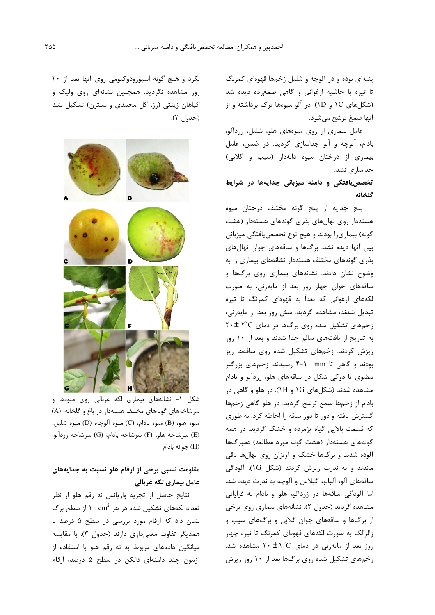پنبهای بوده و در آلوچه و شلیل زخمها قهوهای کمرنگ تا تیره با حاشیه ارغوانی و گاهی صمغزده دیده شد (شکلهای IC و ID). در آلو میوهها ترک برداشته و از آنها صمغ ترشح مے شود.

عامل بیماری از روی میوههای هلو، شلیل، زردآلو، بادام، آلوچه و آلو جداسازی گردید. در ضمن، عامل بیماری از درختان میوه دانهدار (سیب و گلابی) جداسازی نشد.

# تخصص یافتگی و دامنه میزبانی جدایهها در شرایط گلخانه

پنج جدايه از پنج گونه مختلف درختان ميوه هستهدار روی نهالهای بذری گونههای هستهدار (هشت گونه) بیماریزا بودند و هیچ نوع تخصصیافتگی میزبانی بین آنها دیده نشد. برگها و ساقههای جوان نهالهای بذری گونههای مختلف هستهدار نشانههای بیماری را به وضوح نشان دادند. نشانههای بیماری روی برگها و ساقههای جوان چهار روز بعد از مایهزنی، به صورت لکههای ارغوانی که بعداً به قهوهای کمرنگ تا تیره تبدیل شدند، مشاهده گردید. شش روز بعد از مایهزنی، زخمهای تشکیل شده روی برگها در دمای ۲۰±۲۴ به تدریج از بافتهای سالم جدا شدند و بعد از ۱۰ روز ریزش کردند. زخمهای تشکیل شده روی ساقهها ریز بودند و گاهی تا mm ۱۰-۴ رسیدند. زخمهای بزرگتر بیضوی یا دوکی شکل در ساقههای هلو، زردآلو و بادام مشاهده شدند (شکلهای 1G و 1H). در هلو و گاهی در بادام از زخمها صمغ ترشح گردید. در هلو گاهی زخمها گسترش یافته و دور تا دور ساقه را احاطه کرد. به طوری که قسمت بالایی گیاه پژمرده و خشک گردید. در همه گونههای هستهدار (هشت گونه مورد مطالعه) دمبرگها آلوده شدند و برگها خشک و آویزان روی نهالها باقی ماندند و به ندرت ریزش کردند (شکل ۱G). آلودگی ساقههای آلو، آلبالو، گیلاس و آلوچه به ندرت دیده شد. اما آلودگی ساقهها در زردآلو، هلو و بادام به فراوانی مشاهده گردید (جدول ۲). نشانههای بیماری روی برخی از برگها و ساقههای جوان گلابی و برگهای سیب و زالزالک به صورت لکههای قهوهای کمرنگ تا تیره چهار روز بعد از مایهزنی در دمای ۲<sup>۰</sup>C + ۲ مشاهده شد. زخمهای تشکیل شده روی برگها بعد از ۱۰ روز ریزش

نکرد و هیچ گونه اسپورودوکیومی روی آنها بعد از ۲۰ روز مشاهده نگردید. همچنین نشانهای روی ولیک و گیاهان زینتی (رز، گل محمدی و نسترن) تشکیل نشد (جدول ۲).



شکل ۱- نشانههای بیماری لکه غربالی روی میوهها و سرشاخههای گونههای مختلف هستهدار در باغ و گلخانه؛ (A) ميوه هلو، (B) ميوه بادام، (C) ميوه آلوچه، (D) ميوه شليل، (E) سرشاخه هلو، (F) سرشاخه بادام، (G) سرشاخه زردآلو، (H) جوانه بادام

# مقاومت نسبی برخی از ارقام هلو نسبت به جدایههای عامل بیماری لکه غربالی

نتايج حاصل از تجزيه واريانس نه رقم هلو از نظر تعداد لکههای تشکیل شده در هر ۱۰ cm $^2$  از سطح برگ نشان داد که ارقام مورد بررسی در سطح ۵ درصد با همدیگر تفاوت معنے داری دارند (جدول ۳). با مقایسه میانگین دادههای مربوط به نه رقم هلو با استفاده از آزمون چند دامنهای دانکن در سطح ۵ درصد، ارقام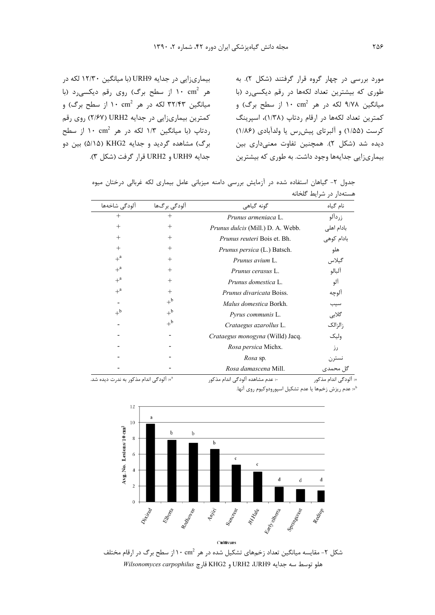بیماری;ایی در جدایه URH9 (با میانگین ۱۲/۳۰ لکه در هر ۱۰ cm<sup>2</sup> از سطح برگ) روی رقم دیکسی رد (با میانگین ۳۲/۴۳ لکه در هر ۱۰ cm<sup>2</sup> از سطح برگ) و کمترین بیماریزایی در جدایه URH2 (۲/۶۷) روی رقم ردتاپ (با میانگین ۱/۳ لکه در هر ۱۰ cm<sup>2</sup> از سطح برگ) مشاهده گردید و جدایه KHG2 (۵/۱۵) بین دو جدايه URH2 و URH2 قرار گرفت (شكل ٣).

مورد بررسی در چهار گروه قرار گرفتند (شکل ۲). به طوری که بیشترین تعداد لکهها در رقم دیکسی د (با میانگین ۹/۷۸ لکه در هر ۱۰ cm<sup>2</sup> از سطح برگ) و کمترین تعداد لکهها در ارقام ردتاپ (۱/۳۸)، اسپرینگ کرست (۱/۵۵) و آلبرتای پیش رس یا ولدآبادی (۱/۸۶) ديده شد (شكل ٢). همچنين تفاوت معنىدارى بين بیماری;ایی جدایهها وجود داشت. به طوری که بیشترین

| جدول ۲- گیاهان استفاده شده در ازمایش بررسی دامنه میزبانی عامل بیماری لکه غربالی درختان میوه |  |  |  |                         |  |
|---------------------------------------------------------------------------------------------|--|--|--|-------------------------|--|
|                                                                                             |  |  |  | هستهدار در شرایط گلخانه |  |

| آلودگی شاخهها                        | آلودگی برگھا | گونه گیاهی                        | نام گیاه              |
|--------------------------------------|--------------|-----------------------------------|-----------------------|
| $^{+}$                               | $^{+}$       | Prunus armeniaca L.               | زردآلو                |
| $^{+}$                               | $^{+}$       | Prunus dulcis (Mill.) D. A. Webb. | بادام اهلی            |
| $^{+}$                               | $^{+}$       | Prunus reuteri Bois et. Bh.       | بادام كوهى            |
| $+$                                  | $^{+}$       | Prunus persica (L.) Batsch.       | هلو                   |
| $+^a$                                | $^{+}$       | Prunus avium L.                   | گيلاس                 |
| $+$ <sup>a</sup>                     | $+$          | Prunus cerasus L.                 | آلبالو                |
| $+^a$                                | $+$          | Prunus domestica L.               | آلو                   |
| $+^a$                                | $+$          | <i>Prunus divaricata</i> Boiss.   | الوچه                 |
|                                      | $+^{\rm b}$  | Malus domestica Borkh.            | سيب                   |
| $+^{\rm b}$                          | $+^{\rm b}$  | Pyrus communis L.                 | گلابی                 |
|                                      | $+^{\rm b}$  | Crataegus azarollus L.            | زالزالک               |
|                                      |              | Crataegus monogyna (Willd) Jacq.  | وليک                  |
|                                      |              | Rosa persica Michx.               | رز                    |
|                                      |              | Rosa sp.                          | نسترن                 |
|                                      |              | Rosa damascena Mill.              | گل محمدی              |
| +: الودگی اندام مذکور به ندرت دیده ش |              | -: عدم مشاهده آلودگی اندام مذکور  | +: آلودگی اندام مذکور |

4: آلودگی اندام مذکور به ندرت دیده شد.

<sup>1</sup>+ عدم ریزش زخمها یا عدم تشکیل اسپورودوکیوم روی آنها.



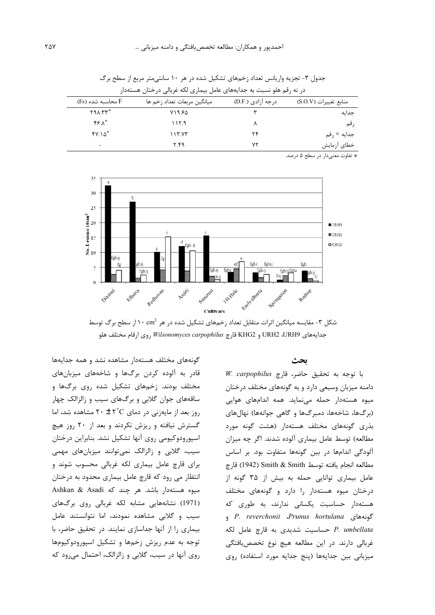| در نه رقم هلو نسبت به جدایههای عامل بیماری لکه غربالی درختان هستهدار |                             |                   |                         |  |
|----------------------------------------------------------------------|-----------------------------|-------------------|-------------------------|--|
| F محاسىه شده (Fs)                                                    | ميانگين مربعات تعداد زخم ها | درجه آزادی (.D.F) | منابع تغييرات (S.O.V)   |  |
| $Y9A. YY^*$                                                          | ۷۱۹.۶۵                      |                   | جدايه                   |  |
| *۶.۸*                                                                | ۱۱۲۹                        |                   | ر قم                    |  |
| $fV.\Delta^*$                                                        | ۱۱۳.۷۳                      | ۲۴                | جدایه × <sub>ر</sub> قم |  |
| $\overline{\phantom{a}}$                                             | ۲.۴۹                        | ۷۲                | خطای آزمایش             |  |

جدول ۳- تجزیه واریانس تعداد زخمهای تشکیل شده در هر ۱۰ سانتی متر مربع از سطح برگ

\* تفاوت معنىدار در سطح ۵ درصد.



شکل ۳- مقایسه میانگین اثرات متقابل تعداد زخمهای تشکیل شده در هر  $\cdot$ ۲۰ ۰ از سطح برگ توسط جدايههاى URH2 ،URH9 و KHG2 قارچ *Wilsonomyces carpophilus* روى ارقام مختلف هلو

ىحث

H. carpophilus z, با توجه به تحقیق حاضر، قارچ دامنه میزبان وسیعی دارد و به گونههای مختلف درختان میوه هستهدار حمله مینماید. همه اندامهای هوایی (برگها، شاخهها، دمبرگها و گاهی جوانهها) نهالهای بذری گونههای مختلف هستهدار (هشت گونه مورد مطالعه) توسط عامل بیماری آلوده شدند. اگر چه میزان آلودگی اندامها در بین گونهها متفاوت بود. بر اساس مطالعه انجام يافته توسط Smith & Smith (1942) قارچ عامل بیماری توانایی حمله به بیش از ۳۵ گونه از درختان میوه هستهدار را دارد و گونههای مختلف هستهدار حساسیت یکسانی ندارند، به طوری که e P. reverchonii *Prunus hortulana* P. umbellata حساسیت شدیدی به قارچ عامل لکه غربالي دارند. در اين مطالعه هيچ نوع تخصص بافتگي میزبانی بین جدایهها (پنج جدایه مورد استفاده) روی

گونههای مختلف هستهدار مشاهده نشد و همه جدایهها قادر به آلوده کردن برگها و شاخههای میزبانهای مختلف بودند. زخمهای تشکیل شده روی برگها و ساقههای جوان گلابی و برگهای سیب و زالزالک چهار  $\mu$ روز بعد از مایهزنی در دمای ۲۰ $\pm$  ۲ $\sim$  مشاهده شد، اما گسترش نیافته و ریزش نکردند و بعد از ۲۰ روز هیچ اسپورودوکیومی روی آنها تشکیل نشد. بنابراین درختان سیب، گلابی و زالزالک نمی توانند میزبانهای مهمی برای قارچ عامل بیماری لکه غربالی محسوب شوند و انتظار می رود که قارچ عامل بیماری محدود به درختان Ashkan & Asadi میوه هستهدار باشد. هر چند که (1971) نشانههایی مشابه لکه غربالی روی برگهای سیب و گلابی مشاهده نمودند، اما نتوانستند عامل بیماری را از آنها جداسازی نمایند. در تحقیق حاضر، با توجه به عدم ریزش زخمها و تشکیل اسپورودوکیومها روی آنها در سیب، گلابی و زالزالک، احتمال می رود که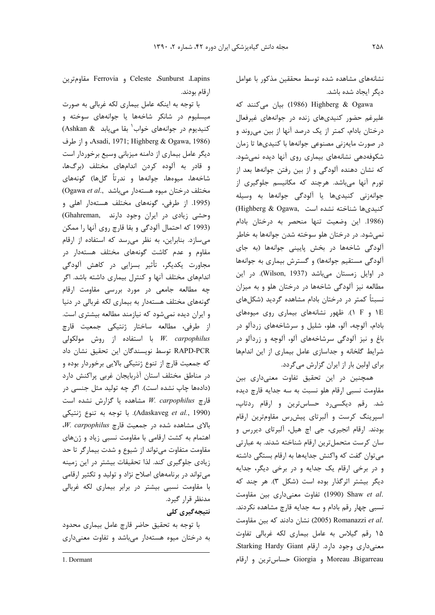نشانههای مشاهده شده توسط محققین مذکور با عوامل دیگر ایجاد شده باشد.

1986) Highberg & Ogawa) بيان مى كنند كه علیرغم حضور کنیدیهای زنده در جوانههای غیرفعال درختان بادام، کمتر از یک درصد آنها از بین میروند و در صورت مايەزنى مصنوعى جوانەھا با كنيدىھا تا زمان شکوفهدهی نشانههای بیماری روی آنها دیده نمی شود. که نشان دهنده آلودگی و از بین رفتن جوانهها بعد از تورم آنها میباشد. هرچند که مکانیسم جلوگیری از جوانهزنی کنیدیها یا آلودگی جوانهها به وسیله Citighberg & Ogawa, Cuito نيدىها شناخته نشده است (1986. این وضعیت تنها منحصر به درختان بادام نمي شود. در درختان هلو سوخته شدن جوانهها به خاطر آلودگی شاخهها در بخش پایینی جوانهها (به جای آلودگی مستقیم جوانهها) و گسترش بیماری به جوانهها در اوایل زمستان میباشد (Wilson, 1937). در این مطالعه نیز آلودگی شاخهها در درختان هلو و به میزان نسبتاً کمتر در درختان بادام مشاهده گردید (شکلهای IE و F). ظهور نشانههای بیماری روی میوههای بادام، آلوچه، آلو، هلو، شلیل و سرشاخههای زردآلو در باغ و نیز آلودگی سرشاخههای آلو، آلوچه و زردآلو در شرایط گلخانه و جداسازی عامل بیماری از این اندامها برای اولین بار از ایران گزارش میگردد.

همچنین در این تحقیق تفاوت معنیداری بین مقاومت نسبي ارقام هلو نسبت به سه جدايه قارچ ديده شد. رقم دیکسی رد حساس ترین و ارقام ردتاپ، اسپرینگ کرست و آلبرتای پیش رس مقاومترین ارقام بودند. ارقام انجیری، جی اچ هیل، آلبرتای دیررس و سان کرست متحمل ترین ارقام شناخته شدند. به عبارتی می توان گفت که واکنش جدایهها به ارقام بستگی داشته و در برخی ارقام یک جدایه و در برخی دیگر، جدایه دیگر بیشتر اثرگذار بوده است (شکل ٣). هر چند که .Shaw et al (1990) تفاوت معنى دارى بين مقاومت نسبي چهار رقم بادام و سه جدايه قارچ مشاهده نكردند. .Romanazzi et al (2005) 30 نشان دادند که بین مقاومت ۱۵ رقم گیلاس به عامل بیماری لکه غربالی تفاوت معنى دارى وجود دارد. ارقام Starking Hardy Giant، Moreau ،Bigarreau و Giorgia حساس ترين و ارقام

Celeste ،Sunburst ،Lapins مقاومترين Ferrovia و Ferrovia ارقام بودند.

با توجه به اینکه عامل بیماری لکه غربالی به صورت میسلیوم در شانکر شاخهها یا جوانههای سوخته و كنيديوم در جوانههاى خواب بقا مى يابد Ashkan & Asadi, 1971; Highberg & Ogawa, 1986)، واز طرف دیگر عامل بیماری از دامنه میزبانی وسیع برخوردار است و قادر به آلوده كردن اندامهاى مختلف (برگها، شاخهها، میوهها، جوانهها و ندرتاً گلها) گونههای  $O$ gawa et al., درختان میوه هستهدار میباشد (1995. از طرفی، گونههای مختلف هستهدار اهلی و وحشى زيادى در ايران وجود دارند .Ghahreman) (1993 كه احتمال آلودگي و بقا قارچ روي آنها را ممكن می سازد. بنابراین، به نظر می رسد که استفاده از ارقام مقاوم و عدم کاشت گونههای مختلف هستهدار در مجاورت یکدیگر، تأثیر بسزایی در کاهش آلودگی اندامهای مختلف آنها و کنترل بیماری داشته باشد. اگر چه مطالعه جامعی در مورد بررسی مقاومت ارقام گونههای مختلف هستهدار به بیماری لکه غربالی در دنیا و ایران دیده نمیشود که نیازمند مطالعه بیشتری است. از طرفی، مطالعه ساختار ژنتیکی جمعیت قارچ با استفاده از روش مولكولى W. carpophilus RAPD-PCR توسط نویسندگان این تحقیق نشان داد که جمعیت قارچ از تنوع ژنتیکی بالایی برخوردار بوده و در مناطق مختلف استان آذربايجان غربي پراكنش دارد (دادهها چاپ نشده است). اگر چه تولید مثل جنسی در قارچ W. carpophilus مشاهده یا گزارش نشده است (Adaskaveg et al., 1990). با توجه به تنوع ژنتيكى بالای مشاهده شده در جمعیت قارچ W. carpophilus اهتمام به کشت ارقامی با مقاومت نسبی زیاد و ژنهای مقاومت متفاوت می تواند از شیوع و شدت بیمار گر تا حد زیادی جلوگیری کند. لذا تحقیقات بیشتر در این زمینه می تواند در برنامههای اصلاح نژاد و تولید و تکثیر ارقامی با مقاومت نسبی بیشتر در برابر بیماری لکه غربالی مدنظر قرار گیرد. نتیجەگیرى كلى

با توجه به تحقیق حاضر قارچ عامل بیماری محدود به درختان میوه هستهدار میباشد و تفاوت معنیداری

1. Dormant